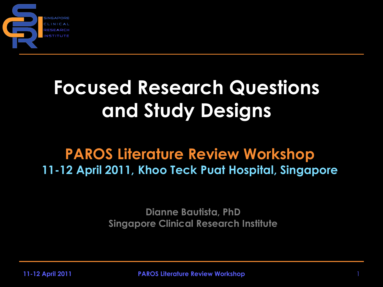

## **Focused Research Questions and Study Designs**

#### **PAROS Literature Review Workshop 11-12 April 2011, Khoo Teck Puat Hospital, Singapore**

**Dianne Bautista, PhD Singapore Clinical Research Institute**

**11-12 April 2011 PAROS Literature Review Workshop** 1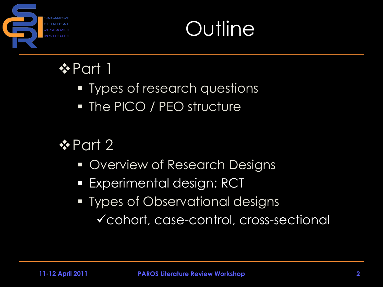

## **Outline**

#### **☆Part 1**

- **Types of research questions**
- The PICO / PEO structure

#### $\div$  **Part 2**

- **Overview of Research Designs**
- **Experimental design: RCT**
- **Types of Observational designs** cohort, case-control, cross-sectional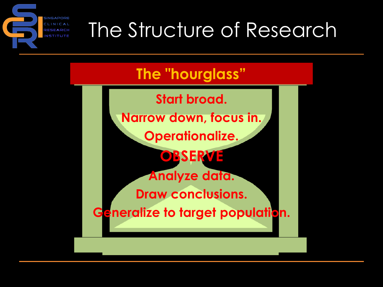## The Structure of Research

#### **The "hourglass"**

**Start broad. Narrow down, focus in. Operationalize. OBSERVE Analyze data. Draw conclusions. Generalize to target population.**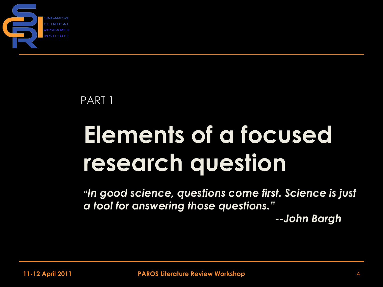

#### PART 1

# **Elements of a focused research question**

**"***In good science, questions come first. Science is just a tool for answering those questions."*

*--John Bargh*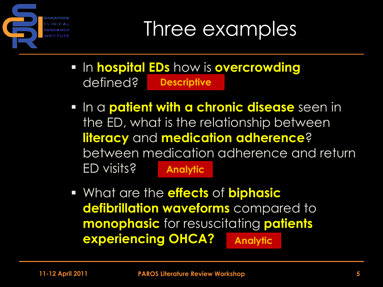

Three examples

- **In hospital EDs how is overcrowding** defined? **Descriptive**
- **In a patient with a chronic disease** seen in the ED, what is the relationship between **literacy** and **medication adherence**? between medication adherence and return ED visits? **Analytic**
- What are the **effects** of **biphasic defibrillation waveforms** compared to **monophasic** for resuscitating **patients experiencing OHCA? Analytic**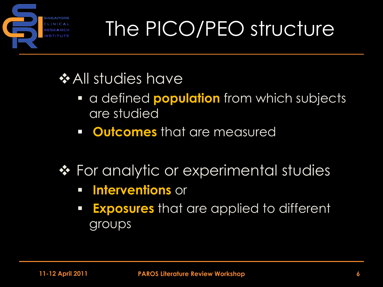

## The PICO/PEO structure

#### $\bigstar$  **All studies have**

- a defined **population** from which subjects are studied
- **Producemes** that are measured
- ◆ For analytic or experimental studies
	- **Interventions** or
	- **Exposures** that are applied to different groups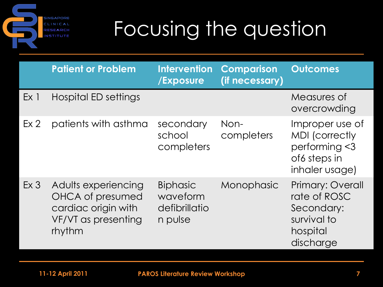**SINGAPORE** CLINICAL RESEARCH **NSTITUTE** 

## Focusing the question

|                 | <b>Patient or Problem</b>                                                                       | <b>Intervention</b><br>/Exposure                        | <b>Comparison</b><br>(if necessary) | <b>Outcomes</b>                                                                                |
|-----------------|-------------------------------------------------------------------------------------------------|---------------------------------------------------------|-------------------------------------|------------------------------------------------------------------------------------------------|
| Ex <sub>1</sub> | Hospital ED settings                                                                            |                                                         |                                     | Measures of<br>overcrowding                                                                    |
| Ex <sub>2</sub> | patients with asthma                                                                            | secondary<br>school<br>completers                       | Non-<br>completers                  | Improper use of<br><b>MDI</b> (correctly<br>performing $<$ 3<br>of6 steps in<br>inhaler usage) |
| Ex <sub>3</sub> | Adults experiencing<br>OHCA of presumed<br>cardiac origin with<br>VF/VT as presenting<br>rhythm | <b>Biphasic</b><br>waveform<br>defibrillatio<br>n pulse | Monophasic                          | <b>Primary: Overall</b><br>rate of ROSC<br>Secondary:<br>survival to<br>hospital<br>discharge  |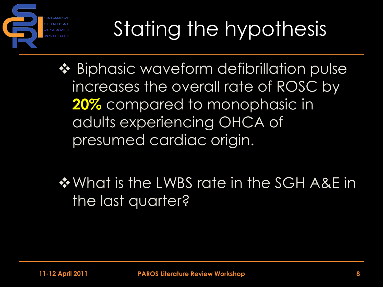

# Stating the hypothesis

❖ Biphasic waveform defibrillation pulse increases the overall rate of ROSC by **20%** compared to monophasic in adults experiencing OHCA of presumed cardiac origin.

◆ What is the LWBS rate in the SGH A&E in the last quarter?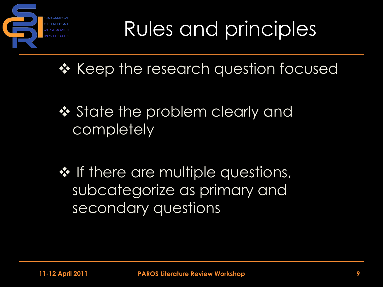

Rules and principles

 $\triangle$  Keep the research question focused

- ❖ State the problem clearly and **completely**
- $\cdot$  If there are multiple questions, subcategorize as primary and secondary questions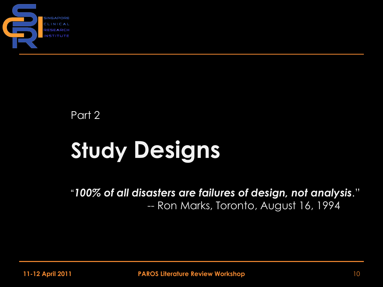

Part 2

# **Study Designs**

"*100% of all disasters are failures of design, not analysis*." -- Ron Marks, Toronto, August 16, 1994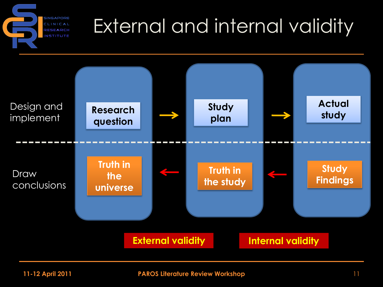

## External and internal validity

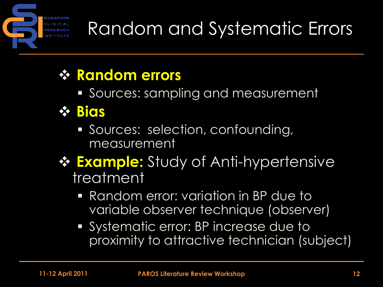

## Random and Systematic Errors

#### **Random errors**

**Sources: sampling and measurement** 

#### **Bias**

- Sources: selection, confounding, measurement
- **☆ Example:** Study of Anti-hypertensive treatment
	- Random error: variation in BP due to variable observer technique (observer)
	- **Systematic error: BP increase due to** proximity to attractive technician (subject)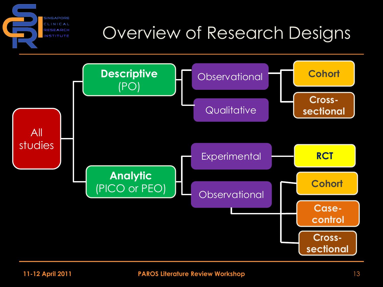#### **SINGAPORE** CLINICAL Overview of Research Designs **RESEARCH NSTITUTE**

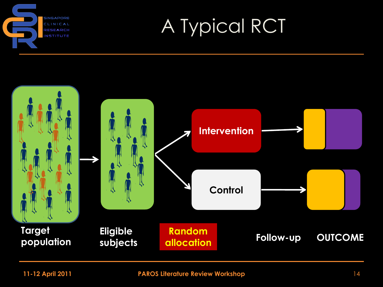

## A Typical RCT

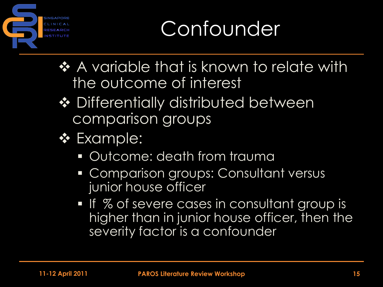

## **Confounder**

- ◆ A variable that is known to relate with the outcome of interest
- **❖** Differentially distributed between comparison groups
- **❖** Example:
	- Outcome: death from trauma
	- **Comparison groups: Consultant versus** junior house officer
	- If % of severe cases in consultant group is higher than in junior house officer, then the severity factor is a confounder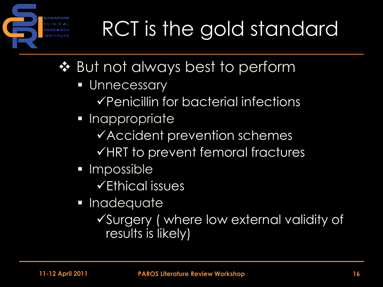# RCT is the gold standard

- ❖ But not always best to perform
	- **Unnecessary** 
		- $\checkmark$  Penicillin for bacterial infections
	- **Inappropriate** 
		- Accident prevention schemes
		- $\checkmark$ HRT to prevent femoral fractures
	- Impossible
		- Ethical issues
	- **Inadequate** 
		- Surgery ( where low external validity of results is likely)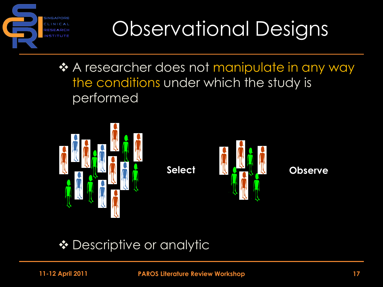

## Observational Designs

❖ A researcher does not manipulate in any way the conditions under which the study is performed



◆ Descriptive or analytic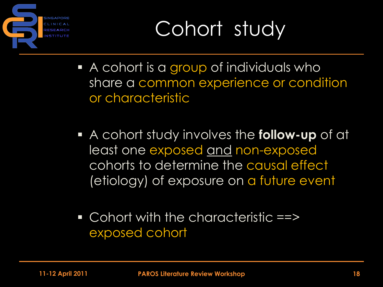

## Cohort study

- A cohort is a group of individuals who share a common experience or condition or characteristic
- A cohort study involves the **follow-up** of at least one exposed and non-exposed cohorts to determine the causal effect (etiology) of exposure on a future event
- **Cohort with the characteristic ==>** exposed cohort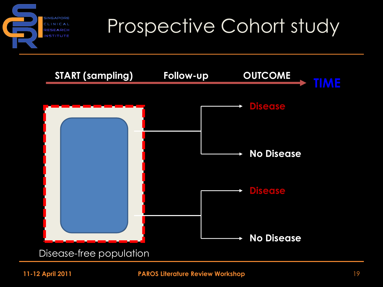

#### Prospective Cohort study

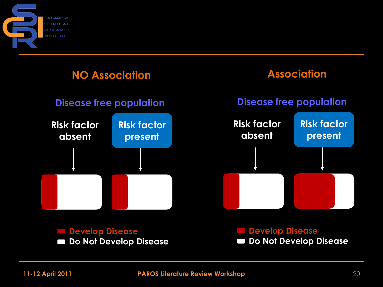



**Do Not Develop Disease**

**Do Not Develop Disease** $\Box$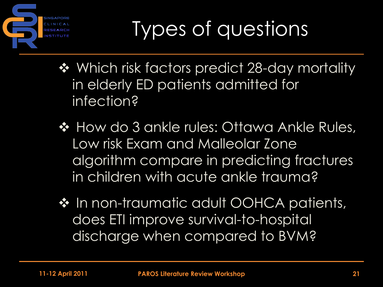

- ◆ Which risk factors predict 28-day mortality in elderly ED patients admitted for infection?
- ❖ How do 3 ankle rules: Ottawa Ankle Rules, Low risk Exam and Malleolar Zone algorithm compare in predicting fractures in children with acute ankle trauma?
- ❖ In non-traumatic adult OOHCA patients, does ETI improve survival-to-hospital discharge when compared to BVM?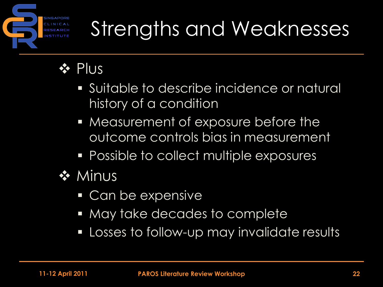

## Strengths and Weaknesses

#### **❖ Plus**

- Suitable to describe incidence or natural history of a condition
- **Measurement of exposure before the** outcome controls bias in measurement
- **Possible to collect multiple exposures**
- **❖ Minus** 
	- Can be expensive
	- May take decades to complete
	- **Losses to follow-up may invalidate results**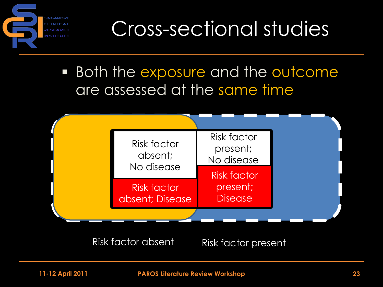

Cross-sectional studies

**Both the exposure and the outcome** are assessed at the same time



Risk factor absent Risk factor present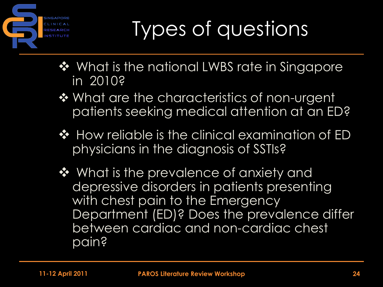

- ❖ What is the national LWBS rate in Singapore in 2010?
- ❖ What are the characteristics of non-urgent patients seeking medical attention at an ED?
- ❖ How reliable is the clinical examination of ED physicians in the diagnosis of SSTIs?
- ❖ What is the prevalence of anxiety and depressive disorders in patients presenting with chest pain to the Emergency Department (ED)? Does the prevalence differ between cardiac and non-cardiac chest pain?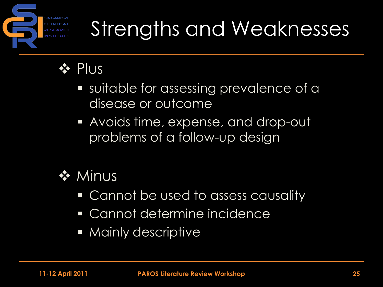

## Strengths and Weaknesses

#### **❖ Plus**

- suitable for assessing prevalence of a disease or outcome
- Avoids time, expense, and drop-out problems of a follow-up design



- **Cannot be used to assess causality**
- Cannot determine incidence
- **Mainly descriptive**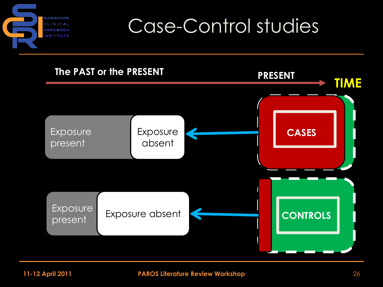

#### Case-Control studies

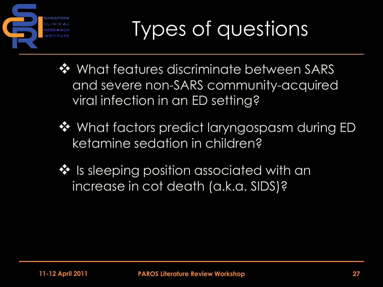

- ❖ What features discriminate between SARS and severe non-SARS community-acquired viral infection in an ED setting?
- $\dots$  What factors predict laryngospasm during ED ketamine sedation in children?
- ❖ Is sleeping position associated with an increase in cot death (a.k.a. SIDS)?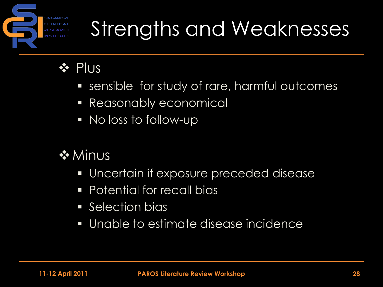

## Strengths and Weaknesses

#### **❖ Plus**

- sensible for study of rare, harmful outcomes
- **Reasonably economical**
- No loss to follow-up
- **❖ Minus** 
	- Uncertain if exposure preceded disease
	- **Potential for recall bias**
	- **Selection bias**
	- Unable to estimate disease incidence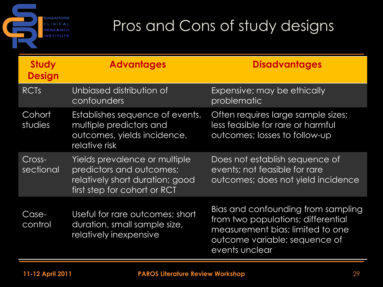**SINGAPORE** CLINICAL RESEARCH **NSTITUTE** 

#### Pros and Cons of study designs

| <b>Study</b><br><b>Design</b> | <b>Advantages</b>                                                                                                            | <b>Disadvantages</b>                                                                                                                                            |
|-------------------------------|------------------------------------------------------------------------------------------------------------------------------|-----------------------------------------------------------------------------------------------------------------------------------------------------------------|
| <b>RCTs</b>                   | Unbiased distribution of<br>confounders                                                                                      | Expensive; may be ethically<br>problematic                                                                                                                      |
| Cohort<br>studies             | Establishes sequence of events,<br>multiple predictors and<br>outcomes, yields incidence,<br>relative risk                   | Often requires large sample sizes;<br>less feasible for rare or harmful<br>outcomes; losses to follow-up                                                        |
| Cross-<br>sectional           | Yields prevalence or multiple<br>predictors and outcomes;<br>relatively short duration; good<br>first step for cohort or RCT | Does not establish sequence of<br>events; not feasible for rare<br>outcomes; does not yield incidence                                                           |
| Case-<br>control              | Useful for rare outcomes; short<br>duration, small sample size,<br>relatively inexpensive                                    | Bias and confounding from sampling<br>from two populations; differential<br>measurement bias; limited to one<br>outcome variable; sequence of<br>events unclear |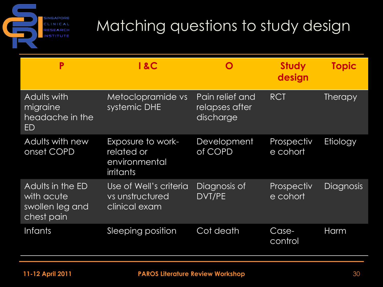**SINGAPORE** CLINICAL RESEARCH **NSTITUTE** 

#### Matching questions to study design

| Ρ                                                               | <b>1&amp;C</b>                                                       |                                                | <b>Study</b><br>design | <b>Topic</b>     |
|-----------------------------------------------------------------|----------------------------------------------------------------------|------------------------------------------------|------------------------|------------------|
| Adults with<br>migraine<br>headache in the<br>ED                | Metoclopramide vs<br>systemic DHE                                    | Pain relief and<br>relapses after<br>discharge | <b>RCT</b>             | <b>Therapy</b>   |
| Adults with new<br>onset COPD                                   | Exposure to work-<br>related or<br>environmental<br><i>irritants</i> | Development<br>of COPD                         | Prospectiv<br>e cohort | Etiology         |
| Adults in the ED<br>with acute<br>swollen leg and<br>chest pain | Use of Well's criteria<br>vs unstructured<br>clinical exam           | Diagnosis of<br>DVT/PE                         | Prospectiv<br>e cohort | <b>Diagnosis</b> |
| <b>Infants</b>                                                  | Sleeping position                                                    | Cot death                                      | Case-<br>control       | Harm             |